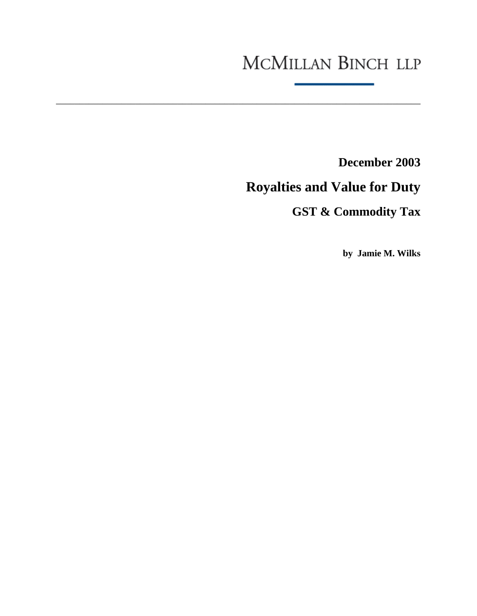# MCMILLAN BINCH LLP

\_\_\_\_\_\_\_\_\_\_\_\_\_\_\_\_\_\_\_\_\_\_\_\_\_\_\_\_\_\_\_\_\_\_\_\_\_\_\_\_\_\_\_\_\_\_\_\_\_\_\_\_\_\_\_\_\_\_\_\_\_\_\_\_\_\_\_\_\_\_\_\_\_\_\_\_\_\_

**December 2003** 

# **Royalties and Value for Duty**

# **GST & Commodity Tax**

**by Jamie M. Wilks**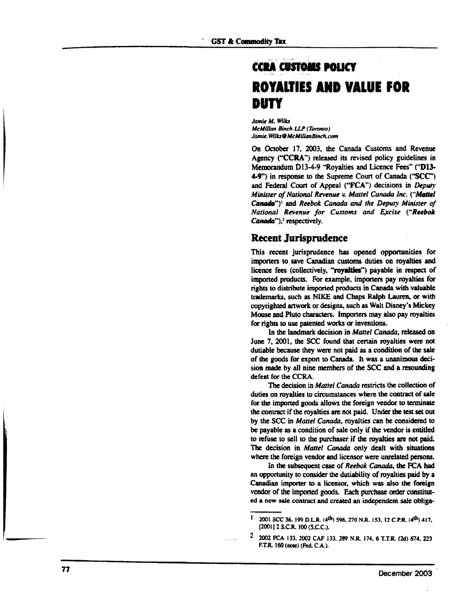### **CCRA CUSTOMS POLICY ROYALTIES AND VALUE FOR DUTY**

*Jamie M. Wilts McMillan Binch LLP (Toronto) Jamu.WUIa9McMmmBinch.cim*

On October 17, 2003, the Canada Customs and Revenue Agency ("CCRA") released its revised policy guidelines in Memorandum D13-4-9 "Royalties and Licence Fees" ("D13-4-9") in response to the Supreme Court of Canada ("SCC") and Federal Court of Appeal ("FCA") decisions in *Deputy Minister of National Revenue v. Mattel Canada Inc. ("Mattel* Canada"}<sup>1</sup> and *Reebok Canada and the Deputy Minister of National Revenue for Customs and Excise ("Reebok Canada"*),<sup>2</sup> respectively.

#### Recent Jurisprudence

This recent jurisprudence has opened opportunities for importers to save Canadian customs duties on royalties and licence fees (collectively, "royalties") payable in respect of imported products. For example, importers pay royalties for rights to distribute imported products in Canada with valuable trademarks, such as NIKE and Chaps Ralph Lauren, or with copyrighted artwork or designs, such as Walt Disney's Mickey Mouse and Piuto characters. Importers may also pay royalties for rights to use patented works or inventions.

In the landmark decision in *Mattel Canada,* released on June 7, 2001, the SCC found that certain royalties were not dutiable because they were not paid as a condition of the sale of the goods for export to Canada. It was a unanimous decision made by all nine members of the SCC and a resounding defeat for the CCRA.

The decision in *Mattel Canada* restricts the collection of duties on royalties to circumstances where the contract of sale for the imported goods allows the foreign vendor to terminate the contract if the royalties are not paid. Under the test set out by the SCC in *Mattel Canada,* royalties can be considered to be payable as a condition of sale only if the vendor is entitled to refuse to sell to the purchaser if the royalties are not paid. The decision in *Mattel Canada* only dealt with situations where the foreign vendor and licensor were unrelated persons.

In the subsequent case of *Reebok Canada,* the FCA had an opportunity to consider the durability of royalties paid by a Canadian importer to a licensor, which was also the foreign vendor of the imported goods. Each purchase order constituted a new sate contract and created an independent sale obliga-

 $\mathbf{i}$ 2001 SCC 36, 199 D.L.R. (4<sup>th</sup>) 598, 270 N.R. 153, 12 C.P.R. (4<sup>th</sup>) 417, {200IJ2S.C.R. IOO{S.C.C).

 $\mathbf{2}$ 2002 FCA 133, 2002 CAF 133, 289 N.R. 174, 6 T.T.R. (2d) 674, 223 F.T.R. 160 (note) (Fed. C.A.).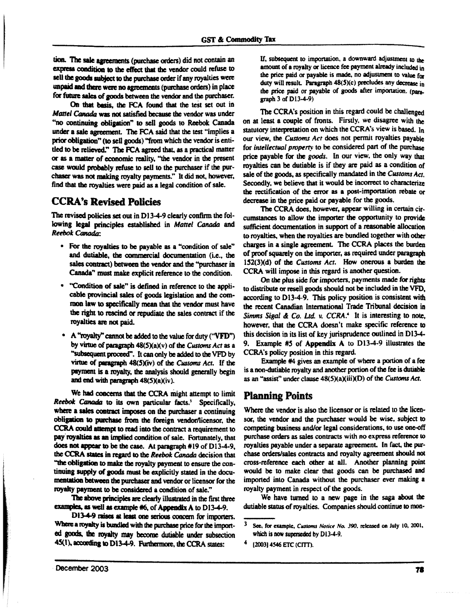tion. The sale agreements (purchase orders) did not contain an express condition to the effect thai the vendor could refuse to sell the goods subject to the purchase order if any royalties were unpaid and there were no agreements (purchase orders) in place for future sates of goods between the vendor and the purchaser.

On that basis, the FCA found that the test set out in *Mattel Canada* was not satisfied because *the* vendor was under "no continuing obligation" to sell goods to Reebok Canada under a sale agreement. The FCA said that the test "implies a prior obligation" (to sell goods) 'from which the vendor is entitled to be relieved." The FCA agreed that, as a practical matter or as a matter of economic reality, "the vendor in the present case would probably refuse to sell to the purchaser if the purchaser was not making royalty payments." It did not, however, find that the royalties were paid as a legal condition of sale.

### **CCRA's Revised** Policies

The revised policies set out in D13-4-9 clearly confirm the following legal principles established in *Mattel Canada* and *Reebok Canada:*

- For the royalties to be payable as a "condition of sale" and dutiable, the commercial documentation (i.e., the sales contract) between the vendor and the "purchaser in Canada" must make explicit reference to the condition.
- "Condition of sale" is defined in reference to the applicable provincial sates of goods legislation and the common law to specifically mean that the vendor must have the right to rescind or repudiate the sales contract if the royalties are not paid.
- A "royalty" cannot be added to the value for duty ("VFD") by virtue of paragraph 48(5)(a)(v) of the *Customs Act* as a "subsequent proceed". It can only be added to the VFD by virtue of paragraph 48(5)(iv) of the *Customs Act*. If the payment is a royalty, the analysis should generally begin and end with paragraph  $48(5)(a)(iv)$ .

We had concerns that the CCRA might attempt to limit *Reebok Canada to* its own particular facts.\* Specifically, where a sales contract imposes on the purchaser a continuing obligation to purchase from the foreign vendor/licensor, die CCRA could attempt to read into the contract a requirement to pay royalties as an implied condition of sale. Fortunately, that does not appear to be the case. At paragraph #19 of D13-4-9, the CCRA states in regard to the *Reebok Canada* decision that "the obligation to make the royalty payment to ensure the continuing supply of goods must be explicitly stated in the documentation between the purchaser and vendor or licensor for the royalty payment to be considered a condition of sale."

The above principles are dearly illustrated in the first three examples, as well as example #6, of Appendix A to D13-4-9.

D13-4-9 raises at least one serious concern for importers. Where a royalty is bundled with the purchase price for the imported goods, the royalty may become dutiable under subsection 45(1), according to D13-49. Furthermore, the CCRA states:

If, subsequent to importation, a downward adjustment to the amount of a royalty or licence fee payment already included in the price paid or payable is made, no adjustment to value for duty will result. Paragraph  $48(5)(c)$  precludes any decrease in the price paid or payable of goods after importation, (para... graph  $3$  of  $D13-4-9$ )

The CCRA's position in this regard could be challenged on at least a couple of fronts. Firstly, we disagree with the statutory interpretation on which the CCRA's view is based. In our view, the *Customs Act* does not permit royalties payable for *intellectual property* to be considered part of the purchase price payable for the *goods*. In our view, the only way that royalties can be dutiable is if they are paid as a condition of sale of the goods, as specifically mandated in the *Customs Act.* Secondly, we believe that it would be incorrect to characterize the rectification of the error as a post-importation rebate or decrease in the price paid or payable for the goods.

The CCRA does, however, appear willing in certain circumstances to allow the importer the opportunity to provide sufficient documentation in support of a reasonable allocation to royalties, when the royalties are bundled together with other charges in a single agreement. The CCRA places the burden of proof squarely on the importer, as required under paragraph 152(3)(d) of the *Customs Act.* How onerous a burden the CCRA will impose in this regard is another question.

On the plus side for importers, payments made for rights to distribute or resell goods should not be included in the VFD, according to D13-4-9. This policy position is consistent with the recent Canadian International Trade Tnbunal decision in Simms Sigal & Co. Ltd. v. CCRA.<sup>4</sup> It is interesting to note, however, that the CCRA doesn't make specific reference to this decision in its list of key jurisprudence outlined in D13-4- 9. Example #5 of Appendix A to D13-4-9 illustrates the CCRA's policy position in this regard.

Example #4 gives an example of where a portion of a fee is a non-dutiable royalty and another portion of the fee is dutiable as an "assist" under clause  $48(5)(a)(iii)(D)$  of the *Customs Act*.

### Planning Points

Where the vendor is also the licensor or is related to the licensor, the vendor and the purchaser would be wise, subject to competing business and/or legal considerations, to use one-off purchase orders as sales contracts with no express reference to royalties payable under a separate agreement. In fact, the purchase orders/sales contracts and royalty agreement should not cross-reference each other at all. Another planning point would be to make clear that goods can be purchased and imported into Canada without the purchaser ever making a royalty payment in respect of the goods.

We have turned to a new page in the saga about the dutiable status of royalties. Companies should continue to mon-

<sup>3</sup> See, for example, *Customs Notice No. 390.* released on July 10, 2001. which is now superseded by D13-4-9.

<sup>4</sup> [2003| 4546 ETC (CITT).